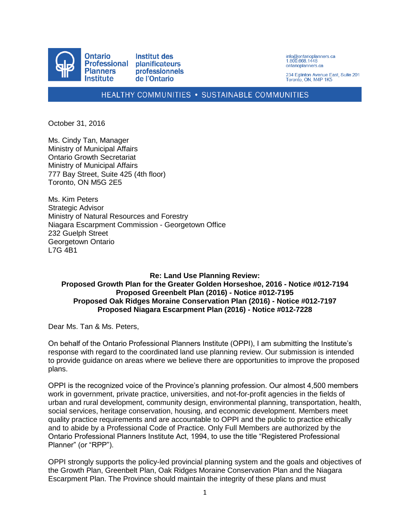

info@ontarioplanners.ca<br>1.800.668.1448 ontarioplanners.ca

234 Eglinton Avenue East, Suite 201 Toronto, ON, M4P 1K5

### HEALTHY COMMUNITIES . SUSTAINABLE COMMUNITIES

October 31, 2016

Ms. Cindy Tan, Manager Ministry of Municipal Affairs Ontario Growth Secretariat Ministry of Municipal Affairs 777 Bay Street, Suite 425 (4th floor) Toronto, ON M5G 2E5

Ms. Kim Peters Strategic Advisor Ministry of Natural Resources and Forestry Niagara Escarpment Commission - Georgetown Office 232 Guelph Street Georgetown Ontario L7G 4B1

### **Re: Land Use Planning Review: Proposed Growth Plan for the Greater Golden Horseshoe, 2016 - Notice #012-7194 Proposed Greenbelt Plan (2016) - Notice #012-7195 Proposed Oak Ridges Moraine Conservation Plan (2016) - Notice #012-7197 Proposed Niagara Escarpment Plan (2016) - Notice #012-7228**

Dear Ms. Tan & Ms. Peters,

On behalf of the Ontario Professional Planners Institute (OPPI), I am submitting the Institute's response with regard to the coordinated land use planning review. Our submission is intended to provide guidance on areas where we believe there are opportunities to improve the proposed plans.

OPPI is the recognized voice of the Province's planning profession. Our almost 4,500 members work in government, private practice, universities, and not-for-profit agencies in the fields of urban and rural development, community design, environmental planning, transportation, health, social services, heritage conservation, housing, and economic development. Members meet quality practice requirements and are accountable to OPPI and the public to practice ethically and to abide by a Professional Code of Practice. Only Full Members are authorized by the Ontario Professional Planners Institute Act, 1994, to use the title "Registered Professional Planner" (or "RPP").

OPPI strongly supports the policy-led provincial planning system and the goals and objectives of the Growth Plan, Greenbelt Plan, Oak Ridges Moraine Conservation Plan and the Niagara Escarpment Plan. The Province should maintain the integrity of these plans and must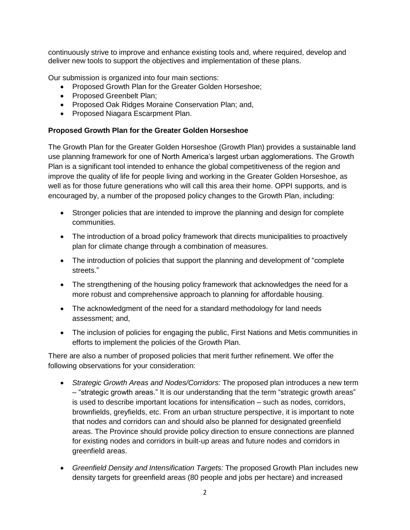continuously strive to improve and enhance existing tools and, where required, develop and deliver new tools to support the objectives and implementation of these plans.

Our submission is organized into four main sections:

- Proposed Growth Plan for the Greater Golden Horseshoe;
- Proposed Greenbelt Plan;
- Proposed Oak Ridges Moraine Conservation Plan; and,
- Proposed Niagara Escarpment Plan.

## **Proposed Growth Plan for the Greater Golden Horseshoe**

The Growth Plan for the Greater Golden Horseshoe (Growth Plan) provides a sustainable land use planning framework for one of North America's largest urban agglomerations. The Growth Plan is a significant tool intended to enhance the global competitiveness of the region and improve the quality of life for people living and working in the Greater Golden Horseshoe, as well as for those future generations who will call this area their home. OPPI supports, and is encouraged by, a number of the proposed policy changes to the Growth Plan, including:

- Stronger policies that are intended to improve the planning and design for complete communities.
- The introduction of a broad policy framework that directs municipalities to proactively plan for climate change through a combination of measures.
- The introduction of policies that support the planning and development of "complete" streets."
- The strengthening of the housing policy framework that acknowledges the need for a more robust and comprehensive approach to planning for affordable housing.
- The acknowledgment of the need for a standard methodology for land needs assessment; and,
- The inclusion of policies for engaging the public, First Nations and Metis communities in efforts to implement the policies of the Growth Plan.

There are also a number of proposed policies that merit further refinement. We offer the following observations for your consideration:

- *Strategic Growth Areas and Nodes/Corridors:* The proposed plan introduces a new term – "strategic growth areas." It is our understanding that the term "strategic growth areas" is used to describe important locations for intensification – such as nodes, corridors, brownfields, greyfields, etc. From an urban structure perspective, it is important to note that nodes and corridors can and should also be planned for designated greenfield areas. The Province should provide policy direction to ensure connections are planned for existing nodes and corridors in built-up areas and future nodes and corridors in greenfield areas.
- *Greenfield Density and Intensification Targets:* The proposed Growth Plan includes new density targets for greenfield areas (80 people and jobs per hectare) and increased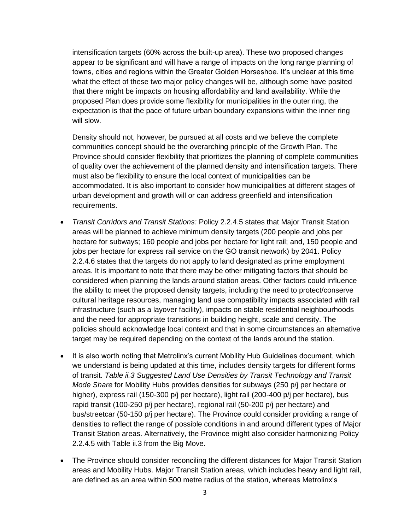intensification targets (60% across the built-up area). These two proposed changes appear to be significant and will have a range of impacts on the long range planning of towns, cities and regions within the Greater Golden Horseshoe. It's unclear at this time what the effect of these two major policy changes will be, although some have posited that there might be impacts on housing affordability and land availability. While the proposed Plan does provide some flexibility for municipalities in the outer ring, the expectation is that the pace of future urban boundary expansions within the inner ring will slow.

Density should not, however, be pursued at all costs and we believe the complete communities concept should be the overarching principle of the Growth Plan. The Province should consider flexibility that prioritizes the planning of complete communities of quality over the achievement of the planned density and intensification targets. There must also be flexibility to ensure the local context of municipalities can be accommodated. It is also important to consider how municipalities at different stages of urban development and growth will or can address greenfield and intensification requirements.

- *Transit Corridors and Transit Stations:* Policy 2.2.4.5 states that Major Transit Station areas will be planned to achieve minimum density targets (200 people and jobs per hectare for subways; 160 people and jobs per hectare for light rail; and, 150 people and jobs per hectare for express rail service on the GO transit network) by 2041. Policy 2.2.4.6 states that the targets do not apply to land designated as prime employment areas. It is important to note that there may be other mitigating factors that should be considered when planning the lands around station areas. Other factors could influence the ability to meet the proposed density targets, including the need to protect/conserve cultural heritage resources, managing land use compatibility impacts associated with rail infrastructure (such as a layover facility), impacts on stable residential neighbourhoods and the need for appropriate transitions in building height, scale and density. The policies should acknowledge local context and that in some circumstances an alternative target may be required depending on the context of the lands around the station.
- It is also worth noting that Metrolinx's current Mobility Hub Guidelines document, which we understand is being updated at this time, includes density targets for different forms of transit. *Table ii.3 Suggested Land Use Densities by Transit Technology and Transit Mode Share* for Mobility Hubs provides densities for subways (250 p/j per hectare or higher), express rail (150-300 p/j per hectare), light rail (200-400 p/j per hectare), bus rapid transit (100-250 p/j per hectare), regional rail (50-200 p/j per hectare) and bus/streetcar (50-150 p/j per hectare). The Province could consider providing a range of densities to reflect the range of possible conditions in and around different types of Major Transit Station areas. Alternatively, the Province might also consider harmonizing Policy 2.2.4.5 with Table ii.3 from the Big Move.
- The Province should consider reconciling the different distances for Major Transit Station areas and Mobility Hubs. Major Transit Station areas, which includes heavy and light rail, are defined as an area within 500 metre radius of the station, whereas Metrolinx's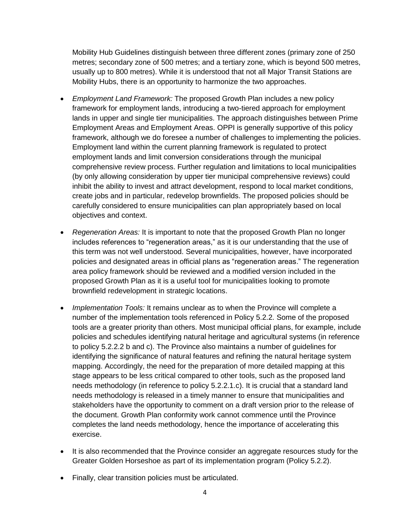Mobility Hub Guidelines distinguish between three different zones (primary zone of 250 metres; secondary zone of 500 metres; and a tertiary zone, which is beyond 500 metres, usually up to 800 metres). While it is understood that not all Major Transit Stations are Mobility Hubs, there is an opportunity to harmonize the two approaches.

- *Employment Land Framework:* The proposed Growth Plan includes a new policy framework for employment lands, introducing a two-tiered approach for employment lands in upper and single tier municipalities. The approach distinguishes between Prime Employment Areas and Employment Areas. OPPI is generally supportive of this policy framework, although we do foresee a number of challenges to implementing the policies. Employment land within the current planning framework is regulated to protect employment lands and limit conversion considerations through the municipal comprehensive review process. Further regulation and limitations to local municipalities (by only allowing consideration by upper tier municipal comprehensive reviews) could inhibit the ability to invest and attract development, respond to local market conditions, create jobs and in particular, redevelop brownfields. The proposed policies should be carefully considered to ensure municipalities can plan appropriately based on local objectives and context.
- *Regeneration Areas:* It is important to note that the proposed Growth Plan no longer includes references to "regeneration areas," as it is our understanding that the use of this term was not well understood. Several municipalities, however, have incorporated policies and designated areas in official plans as "regeneration areas." The regeneration area policy framework should be reviewed and a modified version included in the proposed Growth Plan as it is a useful tool for municipalities looking to promote brownfield redevelopment in strategic locations.
- *Implementation Tools:* It remains unclear as to when the Province will complete a number of the implementation tools referenced in Policy 5.2.2. Some of the proposed tools are a greater priority than others. Most municipal official plans, for example, include policies and schedules identifying natural heritage and agricultural systems (in reference to policy 5.2.2.2 b and c). The Province also maintains a number of guidelines for identifying the significance of natural features and refining the natural heritage system mapping. Accordingly, the need for the preparation of more detailed mapping at this stage appears to be less critical compared to other tools, such as the proposed land needs methodology (in reference to policy 5.2.2.1.c). It is crucial that a standard land needs methodology is released in a timely manner to ensure that municipalities and stakeholders have the opportunity to comment on a draft version prior to the release of the document. Growth Plan conformity work cannot commence until the Province completes the land needs methodology, hence the importance of accelerating this exercise.
- It is also recommended that the Province consider an aggregate resources study for the Greater Golden Horseshoe as part of its implementation program (Policy 5.2.2).
- Finally, clear transition policies must be articulated.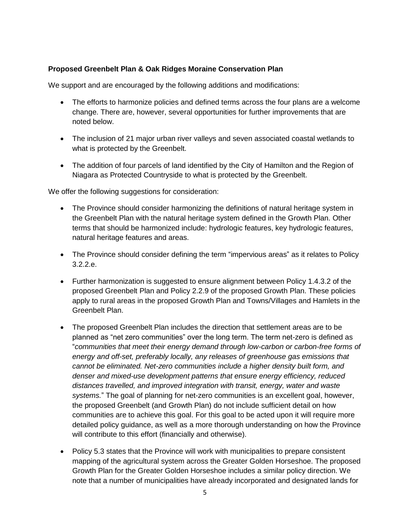## **Proposed Greenbelt Plan & Oak Ridges Moraine Conservation Plan**

We support and are encouraged by the following additions and modifications:

- The efforts to harmonize policies and defined terms across the four plans are a welcome change. There are, however, several opportunities for further improvements that are noted below.
- The inclusion of 21 major urban river valleys and seven associated coastal wetlands to what is protected by the Greenbelt.
- The addition of four parcels of land identified by the City of Hamilton and the Region of Niagara as Protected Countryside to what is protected by the Greenbelt.

We offer the following suggestions for consideration:

- The Province should consider harmonizing the definitions of natural heritage system in the Greenbelt Plan with the natural heritage system defined in the Growth Plan. Other terms that should be harmonized include: hydrologic features, key hydrologic features, natural heritage features and areas.
- The Province should consider defining the term "impervious areas" as it relates to Policy 3.2.2.e.
- Further harmonization is suggested to ensure alignment between Policy 1.4.3.2 of the proposed Greenbelt Plan and Policy 2.2.9 of the proposed Growth Plan. These policies apply to rural areas in the proposed Growth Plan and Towns/Villages and Hamlets in the Greenbelt Plan.
- The proposed Greenbelt Plan includes the direction that settlement areas are to be planned as "net zero communities" over the long term. The term net-zero is defined as "*communities that meet their energy demand through low-carbon or carbon-free forms of energy and off-set, preferably locally, any releases of greenhouse gas emissions that cannot be eliminated. Net-zero communities include a higher density built form, and denser and mixed-use development patterns that ensure energy efficiency, reduced distances travelled, and improved integration with transit, energy, water and waste systems.*" The goal of planning for net-zero communities is an excellent goal, however, the proposed Greenbelt (and Growth Plan) do not include sufficient detail on how communities are to achieve this goal. For this goal to be acted upon it will require more detailed policy guidance, as well as a more thorough understanding on how the Province will contribute to this effort (financially and otherwise).
- Policy 5.3 states that the Province will work with municipalities to prepare consistent mapping of the agricultural system across the Greater Golden Horseshoe. The proposed Growth Plan for the Greater Golden Horseshoe includes a similar policy direction. We note that a number of municipalities have already incorporated and designated lands for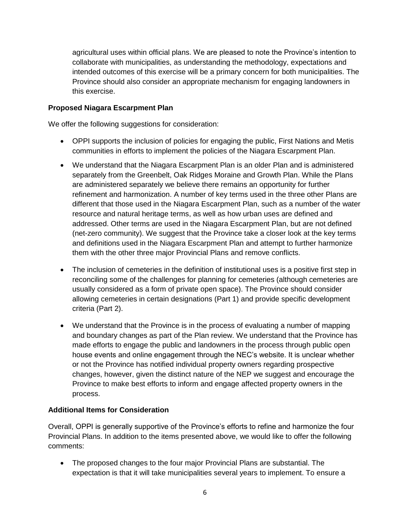agricultural uses within official plans. We are pleased to note the Province's intention to collaborate with municipalities, as understanding the methodology, expectations and intended outcomes of this exercise will be a primary concern for both municipalities. The Province should also consider an appropriate mechanism for engaging landowners in this exercise.

# **Proposed Niagara Escarpment Plan**

We offer the following suggestions for consideration:

- OPPI supports the inclusion of policies for engaging the public, First Nations and Metis communities in efforts to implement the policies of the Niagara Escarpment Plan.
- We understand that the Niagara Escarpment Plan is an older Plan and is administered separately from the Greenbelt, Oak Ridges Moraine and Growth Plan. While the Plans are administered separately we believe there remains an opportunity for further refinement and harmonization. A number of key terms used in the three other Plans are different that those used in the Niagara Escarpment Plan, such as a number of the water resource and natural heritage terms, as well as how urban uses are defined and addressed. Other terms are used in the Niagara Escarpment Plan, but are not defined (net-zero community). We suggest that the Province take a closer look at the key terms and definitions used in the Niagara Escarpment Plan and attempt to further harmonize them with the other three major Provincial Plans and remove conflicts.
- The inclusion of cemeteries in the definition of institutional uses is a positive first step in reconciling some of the challenges for planning for cemeteries (although cemeteries are usually considered as a form of private open space). The Province should consider allowing cemeteries in certain designations (Part 1) and provide specific development criteria (Part 2).
- We understand that the Province is in the process of evaluating a number of mapping and boundary changes as part of the Plan review. We understand that the Province has made efforts to engage the public and landowners in the process through public open house events and online engagement through the NEC's website. It is unclear whether or not the Province has notified individual property owners regarding prospective changes, however, given the distinct nature of the NEP we suggest and encourage the Province to make best efforts to inform and engage affected property owners in the process.

## **Additional Items for Consideration**

Overall, OPPI is generally supportive of the Province's efforts to refine and harmonize the four Provincial Plans. In addition to the items presented above, we would like to offer the following comments:

 The proposed changes to the four major Provincial Plans are substantial. The expectation is that it will take municipalities several years to implement. To ensure a